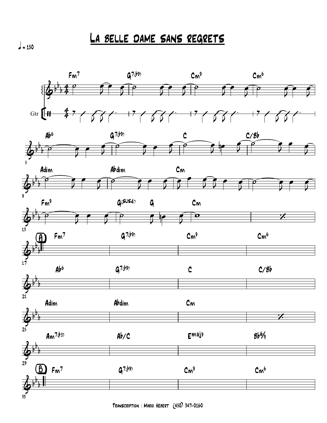*La belle dame sans regrets*

 $\frac{1}{2}$  = 150

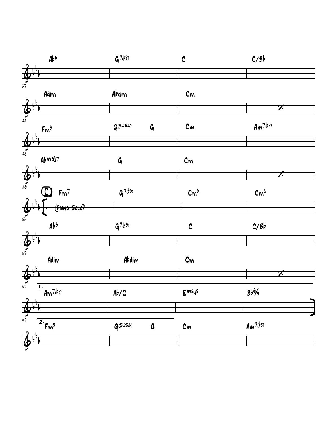